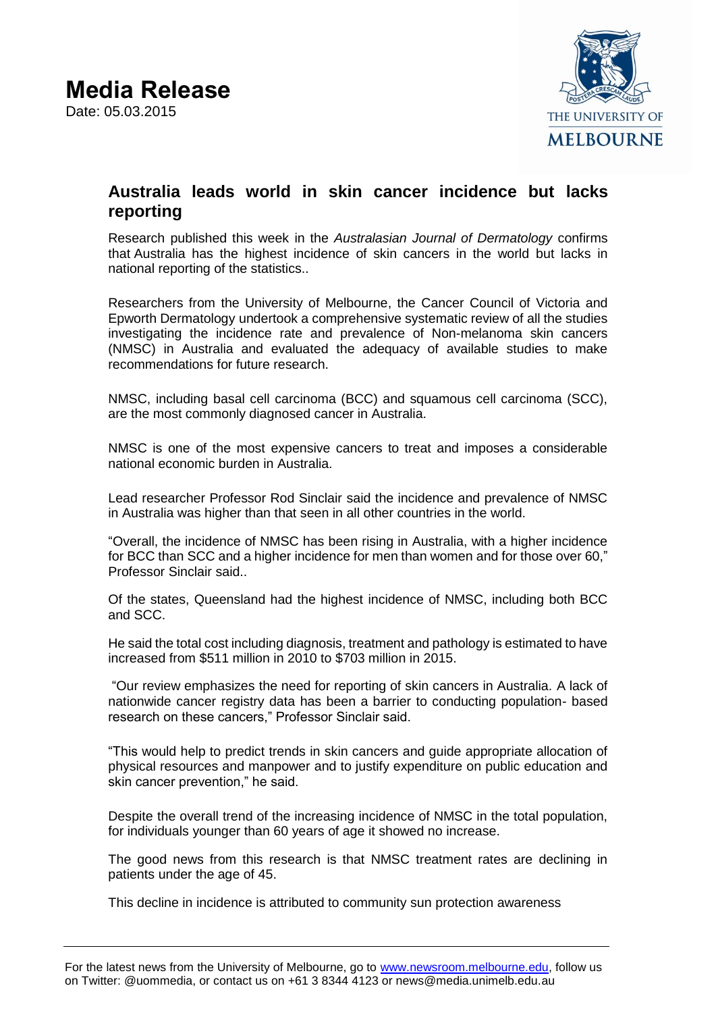

## **Australia leads world in skin cancer incidence but lacks reporting**

Research published this week in the *Australasian Journal of Dermatology* confirms that Australia has the highest incidence of skin cancers in the world but lacks in national reporting of the statistics..

Researchers from the University of Melbourne, the Cancer Council of Victoria and Epworth Dermatology undertook a comprehensive systematic review of all the studies investigating the incidence rate and prevalence of Non-melanoma skin cancers (NMSC) in Australia and evaluated the adequacy of available studies to make recommendations for future research.

NMSC, including basal cell carcinoma (BCC) and squamous cell carcinoma (SCC), are the most commonly diagnosed cancer in Australia.

NMSC is one of the most expensive cancers to treat and imposes a considerable national economic burden in Australia.

Lead researcher Professor Rod Sinclair said the incidence and prevalence of NMSC in Australia was higher than that seen in all other countries in the world.

"Overall, the incidence of NMSC has been rising in Australia, with a higher incidence for BCC than SCC and a higher incidence for men than women and for those over 60," Professor Sinclair said..

Of the states, Queensland had the highest incidence of NMSC, including both BCC and SCC.

He said the total cost including diagnosis, treatment and pathology is estimated to have increased from \$511 million in 2010 to \$703 million in 2015.

"Our review emphasizes the need for reporting of skin cancers in Australia. A lack of nationwide cancer registry data has been a barrier to conducting population- based research on these cancers," Professor Sinclair said.

"This would help to predict trends in skin cancers and guide appropriate allocation of physical resources and manpower and to justify expenditure on public education and skin cancer prevention," he said.

Despite the overall trend of the increasing incidence of NMSC in the total population, for individuals younger than 60 years of age it showed no increase.

The good news from this research is that NMSC treatment rates are declining in patients under the age of 45.

This decline in incidence is attributed to community sun protection awareness